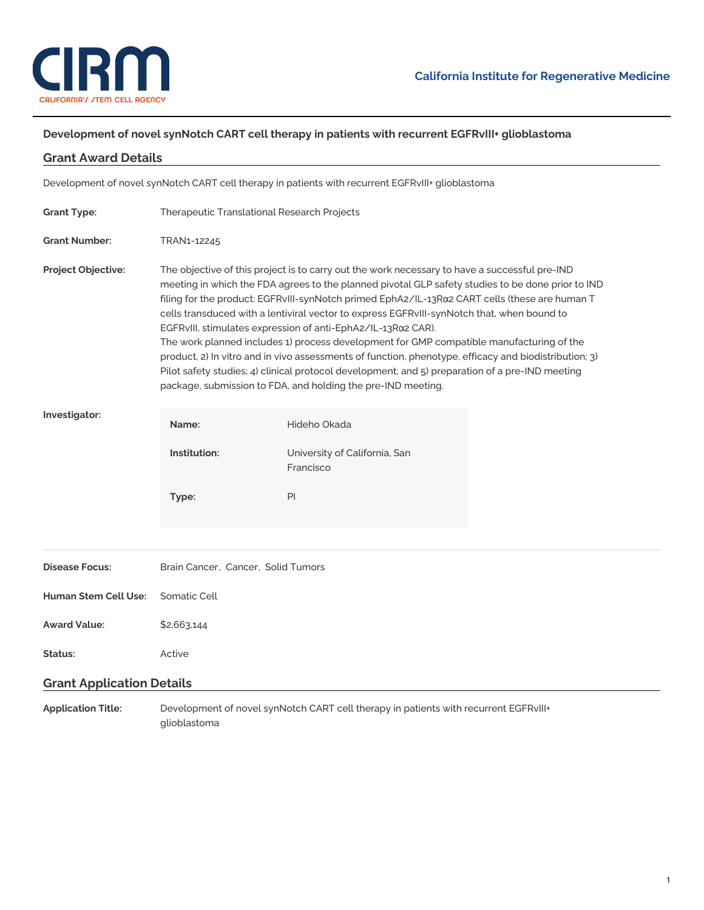

# **Development of novel synNotch CART cell therapy in patients with recurrent EGFRvIII+ glioblastoma**

# **Grant Award Details**

Development of novel synNotch CART cell therapy in patients with recurrent EGFRvIII+ glioblastoma

| <b>Grant Type:</b>               | Therapeutic Translational Research Projects                                                                                                                                                                                                                                                                                                                                                                                                                                                                                                                                                                                                                                                                                                                                                                                               |                                            |  |
|----------------------------------|-------------------------------------------------------------------------------------------------------------------------------------------------------------------------------------------------------------------------------------------------------------------------------------------------------------------------------------------------------------------------------------------------------------------------------------------------------------------------------------------------------------------------------------------------------------------------------------------------------------------------------------------------------------------------------------------------------------------------------------------------------------------------------------------------------------------------------------------|--------------------------------------------|--|
| <b>Grant Number:</b>             | TRAN1-12245                                                                                                                                                                                                                                                                                                                                                                                                                                                                                                                                                                                                                                                                                                                                                                                                                               |                                            |  |
| <b>Project Objective:</b>        | The objective of this project is to carry out the work necessary to have a successful pre-IND<br>meeting in which the FDA agrees to the planned pivotal GLP safety studies to be done prior to IND<br>filing for the product: EGFRvIII-synNotch primed EphA2/IL-13Ra2 CART cells (these are human T<br>cells transduced with a lentiviral vector to express EGFRvIII-synNotch that, when bound to<br>EGFRvIII, stimulates expression of anti-EphA2/IL-13Rα2 CAR).<br>The work planned includes 1) process development for GMP compatible manufacturing of the<br>product, 2) In vitro and in vivo assessments of function, phenotype, efficacy and biodistribution; 3)<br>Pilot safety studies; 4) clinical protocol development; and 5) preparation of a pre-IND meeting<br>package, submission to FDA, and holding the pre-IND meeting. |                                            |  |
| Investigator:                    | Name:                                                                                                                                                                                                                                                                                                                                                                                                                                                                                                                                                                                                                                                                                                                                                                                                                                     | Hideho Okada                               |  |
|                                  | Institution:                                                                                                                                                                                                                                                                                                                                                                                                                                                                                                                                                                                                                                                                                                                                                                                                                              | University of California, San<br>Francisco |  |
|                                  | Type:                                                                                                                                                                                                                                                                                                                                                                                                                                                                                                                                                                                                                                                                                                                                                                                                                                     | PI                                         |  |
|                                  |                                                                                                                                                                                                                                                                                                                                                                                                                                                                                                                                                                                                                                                                                                                                                                                                                                           |                                            |  |
| <b>Disease Focus:</b>            | Brain Cancer, Cancer, Solid Tumors                                                                                                                                                                                                                                                                                                                                                                                                                                                                                                                                                                                                                                                                                                                                                                                                        |                                            |  |
| <b>Human Stem Cell Use:</b>      | Somatic Cell                                                                                                                                                                                                                                                                                                                                                                                                                                                                                                                                                                                                                                                                                                                                                                                                                              |                                            |  |
| <b>Award Value:</b>              | \$2,663,144                                                                                                                                                                                                                                                                                                                                                                                                                                                                                                                                                                                                                                                                                                                                                                                                                               |                                            |  |
| Status:                          | Active                                                                                                                                                                                                                                                                                                                                                                                                                                                                                                                                                                                                                                                                                                                                                                                                                                    |                                            |  |
| <b>Grant Application Details</b> |                                                                                                                                                                                                                                                                                                                                                                                                                                                                                                                                                                                                                                                                                                                                                                                                                                           |                                            |  |
| <b>Application Title:</b>        | Development of novel synNotch CART cell therapy in patients with recurrent EGFRvIII+<br>glioblastoma                                                                                                                                                                                                                                                                                                                                                                                                                                                                                                                                                                                                                                                                                                                                      |                                            |  |